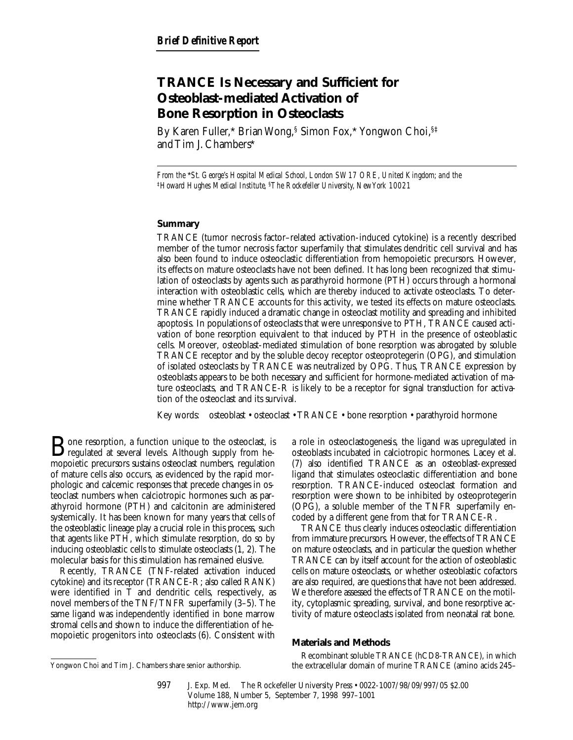# **TRANCE Is Necessary and Sufficient for Osteoblast-mediated Activation of Bone Resorption in Osteoclasts**

By Karen Fuller,\* Brian Wong,§ Simon Fox,\* Yongwon Choi,§‡ and Tim J. Chambers\*

*From the* \**St. George's Hospital Medical School, London SW17 ORE, United Kingdom; and the*  ‡*Howard Hughes Medical Institute,* §*The Rockefeller University, New York 10021*

## **Summary**

TRANCE (tumor necrosis factor–related activation-induced cytokine) is a recently described member of the tumor necrosis factor superfamily that stimulates dendritic cell survival and has also been found to induce osteoclastic differentiation from hemopoietic precursors. However, its effects on mature osteoclasts have not been defined. It has long been recognized that stimulation of osteoclasts by agents such as parathyroid hormone (PTH) occurs through a hormonal interaction with osteoblastic cells, which are thereby induced to activate osteoclasts. To determine whether TRANCE accounts for this activity, we tested its effects on mature osteoclasts. TRANCE rapidly induced a dramatic change in osteoclast motility and spreading and inhibited apoptosis. In populations of osteoclasts that were unresponsive to PTH, TRANCE caused activation of bone resorption equivalent to that induced by PTH in the presence of osteoblastic cells. Moreover, osteoblast-mediated stimulation of bone resorption was abrogated by soluble TRANCE receptor and by the soluble decoy receptor osteoprotegerin (OPG), and stimulation of isolated osteoclasts by TRANCE was neutralized by OPG. Thus, TRANCE expression by osteoblasts appears to be both necessary and sufficient for hormone-mediated activation of mature osteoclasts, and TRANCE-R is likely to be a receptor for signal transduction for activation of the osteoclast and its survival.

Key words: osteoblast • osteoclast • TRANCE • bone resorption • parathyroid hormone

**B**one resorption, a function unique to the osteoclast, is<br>regulated at several levels. Although supply from hemopoietic precursors sustains osteoclast numbers, regulation of mature cells also occurs, as evidenced by the rapid morphologic and calcemic responses that precede changes in osteoclast numbers when calciotropic hormones such as parathyroid hormone (PTH) and calcitonin are administered systemically. It has been known for many years that cells of the osteoblastic lineage play a crucial role in this process, such that agents like PTH, which stimulate resorption, do so by inducing osteoblastic cells to stimulate osteoclasts (1, 2). The molecular basis for this stimulation has remained elusive.

Recently, TRANCE (TNF-related activation induced cytokine) and its receptor (TRANCE-R; also called RANK) were identified in T and dendritic cells, respectively, as novel members of the TNF/TNFR superfamily (3–5). The same ligand was independently identified in bone marrow stromal cells and shown to induce the differentiation of hemopoietic progenitors into osteoclasts (6). Consistent with

a role in osteoclastogenesis, the ligand was upregulated in osteoblasts incubated in calciotropic hormones. Lacey et al. (7) also identified TRANCE as an osteoblast-expressed ligand that stimulates osteoclastic differentiation and bone resorption. TRANCE-induced osteoclast formation and resorption were shown to be inhibited by osteoprotegerin (OPG), a soluble member of the TNFR superfamily encoded by a different gene from that for TRANCE-R.

TRANCE thus clearly induces osteoclastic differentiation from immature precursors. However, the effects of TRANCE on mature osteoclasts, and in particular the question whether TRANCE can by itself account for the action of osteoblastic cells on mature osteoclasts, or whether osteoblastic cofactors are also required, are questions that have not been addressed. We therefore assessed the effects of TRANCE on the motility, cytoplasmic spreading, survival, and bone resorptive activity of mature osteoclasts isolated from neonatal rat bone.

#### **Materials and Methods**

Recombinant soluble TRANCE (hCD8-TRANCE), in which Yongwon Choi and Tim J. Chambers share senior authorship. the extracellular domain of murine TRANCE (amino acids 245–

<sup>997</sup> J. Exp. Med. © The Rockefeller University Press • 0022-1007/98/09/997/05 \$2.00 Volume 188, Number 5, September 7, 1998 997–1001 http://www.jem.org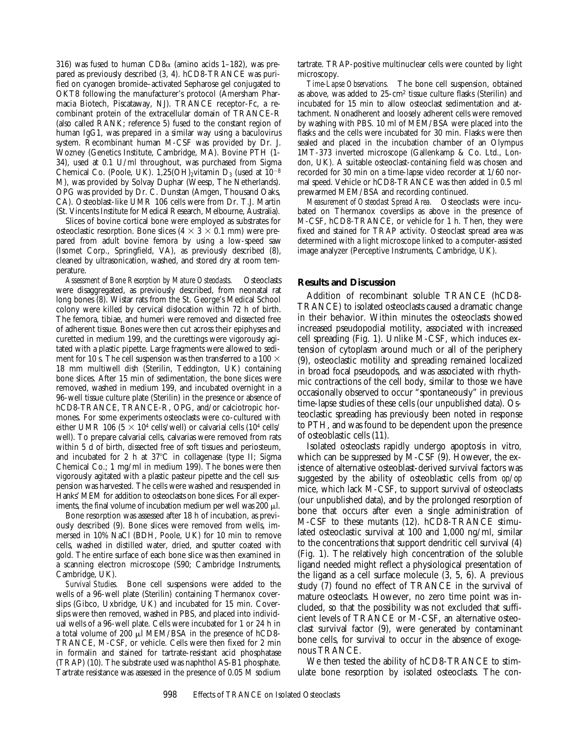316) was fused to human  $CD8\alpha$  (amino acids 1–182), was prepared as previously described (3, 4). hCD8-TRANCE was purified on cyanogen bromide–activated Sepharose gel conjugated to OKT8 following the manufacturer's protocol (Amersham Pharmacia Biotech, Piscataway, NJ). TRANCE receptor-Fc, a recombinant protein of the extracellular domain of TRANCE-R (also called RANK; reference 5) fused to the constant region of human IgG1, was prepared in a similar way using a baculovirus system. Recombinant human M-CSF was provided by Dr. J. Wozney (Genetics Institute, Cambridge, MA). Bovine PTH (1- 34), used at 0.1 U/ml throughout, was purchased from Sigma Chemical Co. (Poole, UK). 1,25(OH)<sub>2</sub>vitamin D<sub>3</sub> (used at  $10^{-8}$ M), was provided by Solvay Duphar (Weesp, The Netherlands). OPG was provided by Dr. C. Dunstan (Amgen, Thousand Oaks, CA). Osteoblast-like UMR 106 cells were from Dr. T.J. Martin (St. Vincents Institute for Medical Research, Melbourne, Australia).

Slices of bovine cortical bone were employed as substrates for osteoclastic resorption. Bone slices  $(4 \times 3 \times 0.1 \text{ mm})$  were prepared from adult bovine femora by using a low-speed saw (Isomet Corp., Springfield, VA), as previously described (8), cleaned by ultrasonication, washed, and stored dry at room temperature.

*Assessment of Bone Resorption by Mature Osteoclasts.* Osteoclasts were disaggregated, as previously described, from neonatal rat long bones (8). Wistar rats from the St. George's Medical School colony were killed by cervical dislocation within 72 h of birth. The femora, tibiae, and humeri were removed and dissected free of adherent tissue. Bones were then cut across their epiphyses and curetted in medium 199, and the curettings were vigorously agitated with a plastic pipette. Large fragments were allowed to sediment for 10 s. The cell suspension was then transferred to a 100  $\times$ 18 mm multiwell dish (Sterilin, Teddington, UK) containing bone slices. After 15 min of sedimentation, the bone slices were removed, washed in medium 199, and incubated overnight in a 96-well tissue culture plate (Sterilin) in the presence or absence of hCD8-TRANCE, TRANCE-R, OPG, and/or calciotropic hormones. For some experiments osteoclasts were co-cultured with either UMR 106 (5  $\times$  10<sup>4</sup> cells/well) or calvarial cells (10<sup>4</sup> cells/ well). To prepare calvarial cells, calvarias were removed from rats within 5 d of birth, dissected free of soft tissues and periosteum, and incubated for 2 h at  $37^{\circ}$ C in collagenase (type II; Sigma Chemical Co.; 1 mg/ml in medium 199). The bones were then vigorously agitated with a plastic pasteur pipette and the cell suspension was harvested. The cells were washed and resuspended in Hanks' MEM for addition to osteoclasts on bone slices. For all experiments, the final volume of incubation medium per well was 200 *ul*.

Bone resorption was assessed after 18 h of incubation, as previously described (9). Bone slices were removed from wells, immersed in 10% NaCl (BDH, Poole, UK) for 10 min to remove cells, washed in distilled water, dried, and sputter coated with gold. The entire surface of each bone slice was then examined in a scanning electron microscope (S90; Cambridge Instruments, Cambridge, UK).

*Survival Studies.* Bone cell suspensions were added to the wells of a 96-well plate (Sterilin) containing Thermanox coverslips (Gibco, Uxbridge, UK) and incubated for 15 min. Coverslips were then removed, washed in PBS, and placed into individual wells of a 96-well plate. Cells were incubated for 1 or 24 h in a total volume of 200 µl MEM/BSA in the presence of hCD8-TRANCE, M-CSF, or vehicle. Cells were then fixed for 2 min in formalin and stained for tartrate-resistant acid phosphatase (TRAP) (10). The substrate used was naphthol AS-B1 phosphate. Tartrate resistance was assessed in the presence of 0.05 M sodium tartrate. TRAP-positive multinuclear cells were counted by light microscopy.

*Time-Lapse Observations.* The bone cell suspension, obtained as above, was added to 25-cm2 tissue culture flasks (Sterilin) and incubated for 15 min to allow osteoclast sedimentation and attachment. Nonadherent and loosely adherent cells were removed by washing with PBS. 10 ml of MEM/BSA were placed into the flasks and the cells were incubated for 30 min. Flasks were then sealed and placed in the incubation chamber of an Olympus 1MT-373 inverted microscope (Gallenkamp & Co. Ltd., London, UK). A suitable osteoclast-containing field was chosen and recorded for 30 min on a time-lapse video recorder at 1/60 normal speed. Vehicle or hCD8-TRANCE was then added in 0.5 ml prewarmed MEM/BSA and recording continued.

*Measurement of Osteoclast Spread Area.* Osteoclasts were incubated on Thermanox coverslips as above in the presence of M-CSF, hCD8-TRANCE, or vehicle for 1 h. Then, they were fixed and stained for TRAP activity. Osteoclast spread area was determined with a light microscope linked to a computer-assisted image analyzer (Perceptive Instruments, Cambridge, UK).

## **Results and Discussion**

Addition of recombinant soluble TRANCE (hCD8- TRANCE) to isolated osteoclasts caused a dramatic change in their behavior. Within minutes the osteoclasts showed increased pseudopodial motility, associated with increased cell spreading (Fig. 1). Unlike M-CSF, which induces extension of cytoplasm around much or all of the periphery (9), osteoclastic motility and spreading remained localized in broad focal pseudopods, and was associated with rhythmic contractions of the cell body, similar to those we have occasionally observed to occur "spontaneously" in previous time-lapse studies of these cells (our unpublished data). Osteoclastic spreading has previously been noted in response to PTH, and was found to be dependent upon the presence of osteoblastic cells (11).

Isolated osteoclasts rapidly undergo apoptosis in vitro*,* which can be suppressed by M-CSF (9). However, the existence of alternative osteoblast-derived survival factors was suggested by the ability of osteoblastic cells from *op/op* mice, which lack M-CSF, to support survival of osteoclasts (our unpublished data), and by the prolonged resorption of bone that occurs after even a single administration of M-CSF to these mutants (12). hCD8-TRANCE stimulated osteoclastic survival at 100 and 1,000 ng/ml, similar to the concentrations that support dendritic cell survival (4) (Fig. 1). The relatively high concentration of the soluble ligand needed might reflect a physiological presentation of the ligand as a cell surface molecule (3, 5, 6). A previous study (7) found no effect of TRANCE in the survival of mature osteoclasts. However, no zero time point was included, so that the possibility was not excluded that sufficient levels of TRANCE or M-CSF, an alternative osteoclast survival factor (9), were generated by contaminant bone cells, for survival to occur in the absence of exogenous TRANCE.

We then tested the ability of hCD8-TRANCE to stimulate bone resorption by isolated osteoclasts. The con-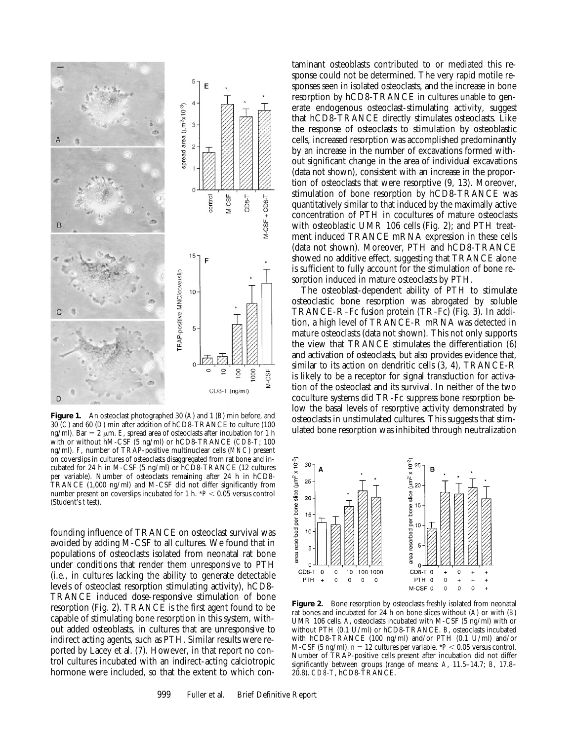

**Figure 1.** An osteoclast photographed 30 (*A*) and 1 (*B*) min before, and 30 (*C*) and 60 (*D*) min after addition of hCD8-TRANCE to culture (100 ng/ml). Bar  $= 2 \mu m$ . *E*, spread area of osteoclasts after incubation for 1 h with or without hM-CSF (5 ng/ml) or hCD8-TRANCE (*CD8-T*; 100 ng/ml). *F*, number of TRAP-positive multinuclear cells (*MNC*) present on coverslips in cultures of osteoclasts disaggregated from rat bone and incubated for 24 h in M-CSF (5 ng/ml) or hCD8-TRANCE (12 cultures per variable). Number of osteoclasts remaining after 24 h in hCD8- TRANCE (1,000 ng/ml) and M-CSF did not differ significantly from number present on coverslips incubated for 1 h.  $*P < 0.05$  versus control (Student's *t* test).

founding influence of TRANCE on osteoclast survival was avoided by adding M-CSF to all cultures. We found that in populations of osteoclasts isolated from neonatal rat bone under conditions that render them unresponsive to PTH (i.e., in cultures lacking the ability to generate detectable levels of osteoclast resorption stimulating activity), hCD8- TRANCE induced dose-responsive stimulation of bone resorption (Fig. 2). TRANCE is the first agent found to be capable of stimulating bone resorption in this system, without added osteoblasts, in cultures that are unresponsive to indirect acting agents, such as PTH. Similar results were reported by Lacey et al. (7). However, in that report no control cultures incubated with an indirect-acting calciotropic hormone were included, so that the extent to which con-

taminant osteoblasts contributed to or mediated this response could not be determined. The very rapid motile responses seen in isolated osteoclasts, and the increase in bone resorption by hCD8-TRANCE in cultures unable to generate endogenous osteoclast-stimulating activity, suggest that hCD8-TRANCE directly stimulates osteoclasts. Like the response of osteoclasts to stimulation by osteoblastic cells, increased resorption was accomplished predominantly by an increase in the number of excavations formed without significant change in the area of individual excavations (data not shown), consistent with an increase in the proportion of osteoclasts that were resorptive (9, 13). Moreover, stimulation of bone resorption by hCD8-TRANCE was quantitatively similar to that induced by the maximally active concentration of PTH in cocultures of mature osteoclasts with osteoblastic UMR 106 cells (Fig. 2); and PTH treatment induced TRANCE mRNA expression in these cells (data not shown). Moreover, PTH and hCD8-TRANCE showed no additive effect, suggesting that TRANCE alone is sufficient to fully account for the stimulation of bone resorption induced in mature osteoclasts by PTH.

The osteoblast-dependent ability of PTH to stimulate osteoclastic bone resorption was abrogated by soluble TRANCE-R–Fc fusion protein (TR-Fc) (Fig. 3). In addition, a high level of TRANCE-R mRNA was detected in mature osteoclasts (data not shown). This not only supports the view that TRANCE stimulates the differentiation (6) and activation of osteoclasts, but also provides evidence that, similar to its action on dendritic cells (3, 4), TRANCE-R is likely to be a receptor for signal transduction for activation of the osteoclast and its survival. In neither of the two coculture systems did TR-Fc suppress bone resorption below the basal levels of resorptive activity demonstrated by osteoclasts in unstimulated cultures. This suggests that stimulated bone resorption was inhibited through neutralization



Figure 2. Bone resorption by osteoclasts freshly isolated from neonatal rat bones and incubated for 24 h on bone slices without (*A*) or with (*B*) UMR 106 cells. *A*, osteoclasts incubated with M-CSF (5 ng/ml) with or without PTH (0.1 U/ml) or hCD8-TRANCE. *B*, osteoclasts incubated with hCD8-TRANCE (100 ng/ml) and/or PTH (0.1 U/ml) and/or M-CSF (5 ng/ml).  $n = 12$  cultures per variable.  $*P < 0.05$  versus control. Number of TRAP-positive cells present after incubation did not differ significantly between groups (range of means: *A*, 11.5–14.7; *B*, 17.8– 20.8). *CD8-T*, hCD8-TRANCE.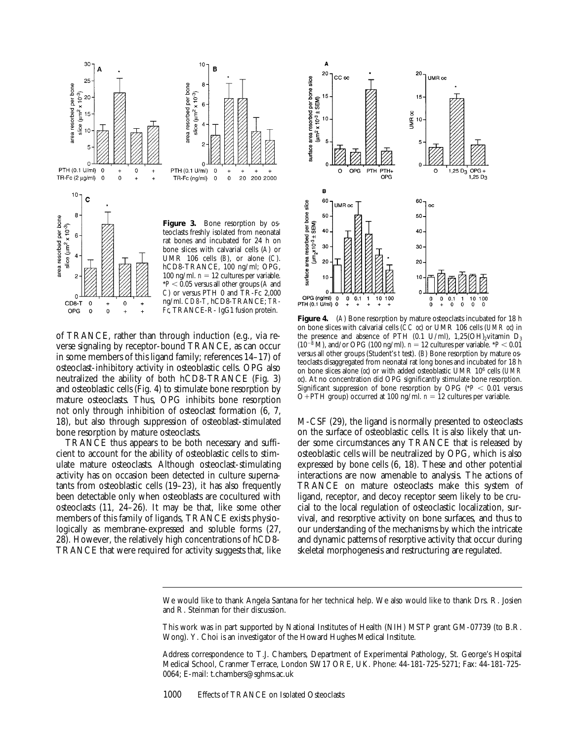

of TRANCE, rather than through induction (e.g., via reverse signaling by receptor-bound TRANCE, as can occur in some members of this ligand family; references 14–17) of osteoclast-inhibitory activity in osteoblastic cells. OPG also neutralized the ability of both hCD8-TRANCE (Fig. 3) and osteoblastic cells (Fig. 4) to stimulate bone resorption by mature osteoclasts. Thus, OPG inhibits bone resorption not only through inhibition of osteoclast formation (6, 7, 18), but also through suppression of osteoblast-stimulated bone resorption by mature osteoclasts.

TRANCE thus appears to be both necessary and sufficient to account for the ability of osteoblastic cells to stimulate mature osteoclasts. Although osteoclast-stimulating activity has on occasion been detected in culture supernatants from osteoblastic cells (19–23), it has also frequently been detectable only when osteoblasts are cocultured with osteoclasts (11, 24–26). It may be that, like some other members of this family of ligands, TRANCE exists physiologically as membrane-expressed and soluble forms (27, 28). However, the relatively high concentrations of hCD8- TRANCE that were required for activity suggests that, like



**Figure 4.** (*A*) Bone resorption by mature osteoclasts incubated for 18 h on bone slices with calvarial cells (*CC oc*) or UMR 106 cells (*UMR oc*) in the presence and absence of PTH (0.1 U/ml), 1,25(OH)<sub>2</sub>vitamin  $D_3$  $(10^{-8}$  M), and/or OPG (100 ng/ml).  $n = 12$  cultures per variable. \**P* < 0.01 versus all other groups (Student's *t* test). (*B*) Bone resorption by mature osteoclasts disaggregated from neonatal rat long bones and incubated for 18 h on bone slices alone (*oc*) or with added osteoblastic UMR 106 cells (*UMR oc*). At no concentration did OPG significantly stimulate bone resorption. Significant suppression of bone resorption by OPG ( $P < 0.01$  versus O+PTH group) occurred at 100 ng/ml.  $n = 12$  cultures per variable.

M-CSF (29), the ligand is normally presented to osteoclasts on the surface of osteoblastic cells. It is also likely that under some circumstances any TRANCE that is released by osteoblastic cells will be neutralized by OPG, which is also expressed by bone cells (6, 18). These and other potential interactions are now amenable to analysis. The actions of TRANCE on mature osteoclasts make this system of ligand, receptor, and decoy receptor seem likely to be crucial to the local regulation of osteoclastic localization, survival, and resorptive activity on bone surfaces, and thus to our understanding of the mechanisms by which the intricate and dynamic patterns of resorptive activity that occur during skeletal morphogenesis and restructuring are regulated.

We would like to thank Angela Santana for her technical help. We also would like to thank Drs. R. Josien and R. Steinman for their discussion.

This work was in part supported by National Institutes of Health (NIH) MSTP grant GM-07739 (to B.R. Wong). Y. Choi is an investigator of the Howard Hughes Medical Institute.

Address correspondence to T.J. Chambers, Department of Experimental Pathology, St. George's Hospital Medical School, Cranmer Terrace, London SW17 ORE, UK. Phone: 44-181-725-5271; Fax: 44-181-725- 0064; E-mail: t.chambers@sghms.ac.uk

1000 Effects of TRANCE on Isolated Osteoclasts